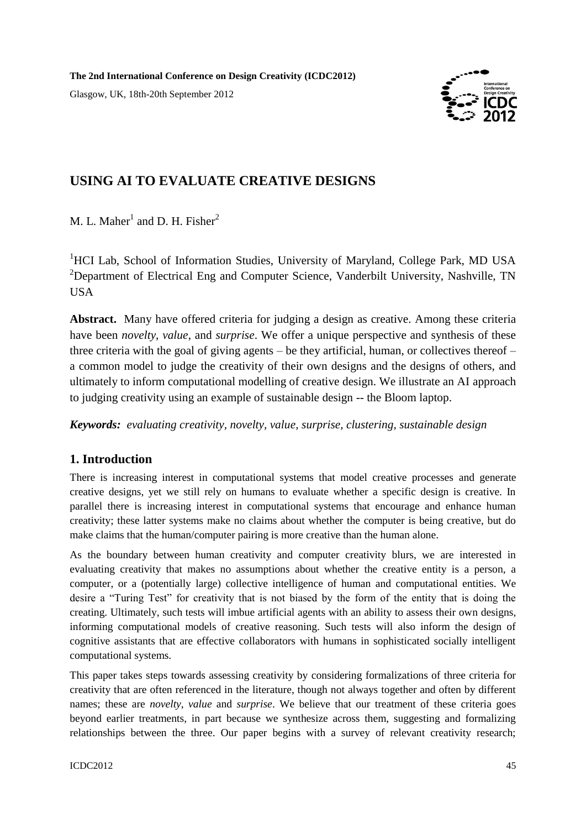**The 2nd International Conference on Design Creativity (ICDC2012)**

Glasgow, UK, 18th-20th September 2012



# **USING AI TO EVALUATE CREATIVE DESIGNS**

M. L. Maher<sup>1</sup> and D. H. Fisher<sup>2</sup>

<sup>1</sup>HCI Lab, School of Information Studies, University of Maryland, College Park, MD USA <sup>2</sup>Department of Electrical Eng and Computer Science, Vanderbilt University, Nashville, TN USA

**Abstract.** Many have offered criteria for judging a design as creative. Among these criteria have been *novelty*, *value*, and *surprise*. We offer a unique perspective and synthesis of these three criteria with the goal of giving agents – be they artificial, human, or collectives thereof – a common model to judge the creativity of their own designs and the designs of others, and ultimately to inform computational modelling of creative design. We illustrate an AI approach to judging creativity using an example of sustainable design -- the Bloom laptop.

*Keywords: evaluating creativity, novelty, value, surprise, clustering, sustainable design* 

## **1. Introduction**

There is increasing interest in computational systems that model creative processes and generate creative designs, yet we still rely on humans to evaluate whether a specific design is creative. In parallel there is increasing interest in computational systems that encourage and enhance human creativity; these latter systems make no claims about whether the computer is being creative, but do make claims that the human/computer pairing is more creative than the human alone.

As the boundary between human creativity and computer creativity blurs, we are interested in evaluating creativity that makes no assumptions about whether the creative entity is a person, a computer, or a (potentially large) collective intelligence of human and computational entities. We desire a "Turing Test" for creativity that is not biased by the form of the entity that is doing the creating. Ultimately, such tests will imbue artificial agents with an ability to assess their own designs, informing computational models of creative reasoning. Such tests will also inform the design of cognitive assistants that are effective collaborators with humans in sophisticated socially intelligent computational systems.

This paper takes steps towards assessing creativity by considering formalizations of three criteria for creativity that are often referenced in the literature, though not always together and often by different names; these are *novelty*, *value* and *surprise*. We believe that our treatment of these criteria goes beyond earlier treatments, in part because we synthesize across them, suggesting and formalizing relationships between the three. Our paper begins with a survey of relevant creativity research;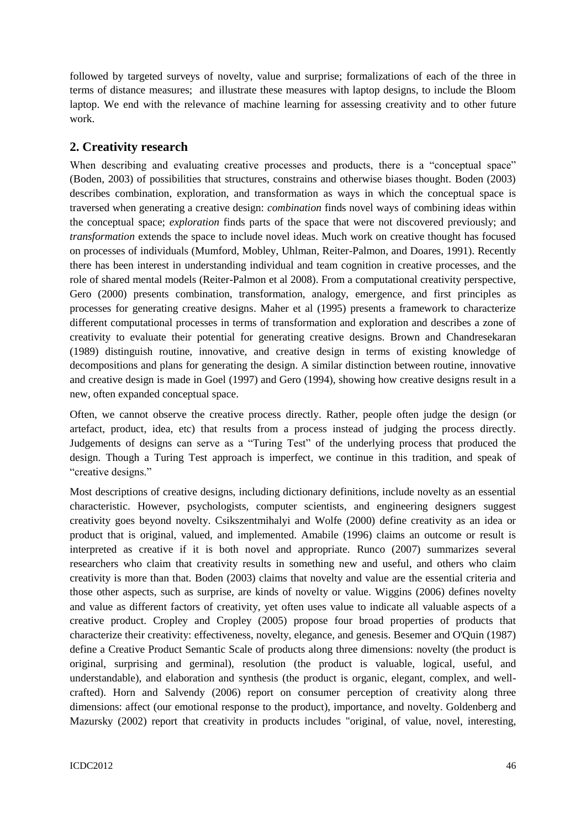followed by targeted surveys of novelty, value and surprise; formalizations of each of the three in terms of distance measures; and illustrate these measures with laptop designs, to include the Bloom laptop. We end with the relevance of machine learning for assessing creativity and to other future work.

## **2. Creativity research**

When describing and evaluating creative processes and products, there is a "conceptual space" (Boden, 2003) of possibilities that structures, constrains and otherwise biases thought. Boden (2003) describes combination, exploration, and transformation as ways in which the conceptual space is traversed when generating a creative design: *combination* finds novel ways of combining ideas within the conceptual space; *exploration* finds parts of the space that were not discovered previously; and *transformation* extends the space to include novel ideas. Much work on creative thought has focused on processes of individuals (Mumford, Mobley, Uhlman, Reiter-Palmon, and Doares, 1991). Recently there has been interest in understanding individual and team cognition in creative processes, and the role of shared mental models (Reiter-Palmon et al 2008). From a computational creativity perspective, Gero (2000) presents combination, transformation, analogy, emergence, and first principles as processes for generating creative designs. Maher et al (1995) presents a framework to characterize different computational processes in terms of transformation and exploration and describes a zone of creativity to evaluate their potential for generating creative designs. Brown and Chandresekaran (1989) distinguish routine, innovative, and creative design in terms of existing knowledge of decompositions and plans for generating the design. A similar distinction between routine, innovative and creative design is made in Goel (1997) and Gero (1994), showing how creative designs result in a new, often expanded conceptual space.

Often, we cannot observe the creative process directly. Rather, people often judge the design (or artefact, product, idea, etc) that results from a process instead of judging the process directly. Judgements of designs can serve as a "Turing Test" of the underlying process that produced the design. Though a Turing Test approach is imperfect, we continue in this tradition, and speak of "creative designs."

Most descriptions of creative designs, including dictionary definitions, include novelty as an essential characteristic. However, psychologists, computer scientists, and engineering designers suggest creativity goes beyond novelty. Csikszentmihalyi and Wolfe (2000) define creativity as an idea or product that is original, valued, and implemented. Amabile (1996) claims an outcome or result is interpreted as creative if it is both novel and appropriate. Runco (2007) summarizes several researchers who claim that creativity results in something new and useful, and others who claim creativity is more than that. Boden (2003) claims that novelty and value are the essential criteria and those other aspects, such as surprise, are kinds of novelty or value. Wiggins (2006) defines novelty and value as different factors of creativity, yet often uses value to indicate all valuable aspects of a creative product. Cropley and Cropley (2005) propose four broad properties of products that characterize their creativity: effectiveness, novelty, elegance, and genesis. Besemer and O'Quin (1987) define a Creative Product Semantic Scale of products along three dimensions: novelty (the product is original, surprising and germinal), resolution (the product is valuable, logical, useful, and understandable), and elaboration and synthesis (the product is organic, elegant, complex, and wellcrafted). Horn and Salvendy (2006) report on consumer perception of creativity along three dimensions: affect (our emotional response to the product), importance, and novelty. Goldenberg and Mazursky (2002) report that creativity in products includes "original, of value, novel, interesting,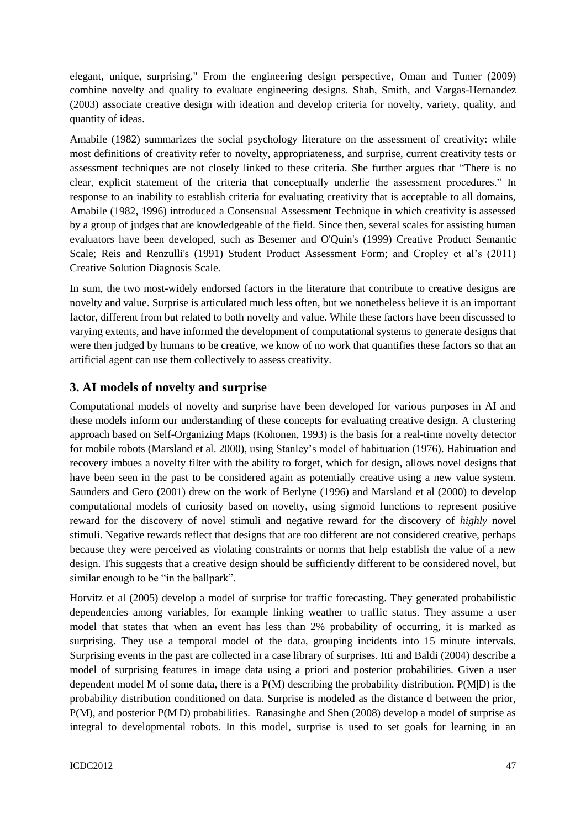elegant, unique, surprising." From the engineering design perspective, Oman and Tumer (2009) combine novelty and quality to evaluate engineering designs. Shah, Smith, and Vargas-Hernandez (2003) associate creative design with ideation and develop criteria for novelty, variety, quality, and quantity of ideas.

Amabile (1982) summarizes the social psychology literature on the assessment of creativity: while most definitions of creativity refer to novelty, appropriateness, and surprise, current creativity tests or assessment techniques are not closely linked to these criteria. She further argues that "There is no clear, explicit statement of the criteria that conceptually underlie the assessment procedures." In response to an inability to establish criteria for evaluating creativity that is acceptable to all domains, Amabile (1982, 1996) introduced a Consensual Assessment Technique in which creativity is assessed by a group of judges that are knowledgeable of the field. Since then, several scales for assisting human evaluators have been developed, such as Besemer and O'Quin's (1999) Creative Product Semantic Scale; Reis and Renzulli's (1991) Student Product Assessment Form; and Cropley et al's (2011) Creative Solution Diagnosis Scale.

In sum, the two most-widely endorsed factors in the literature that contribute to creative designs are novelty and value. Surprise is articulated much less often, but we nonetheless believe it is an important factor, different from but related to both novelty and value. While these factors have been discussed to varying extents, and have informed the development of computational systems to generate designs that were then judged by humans to be creative, we know of no work that quantifies these factors so that an artificial agent can use them collectively to assess creativity.

## **3. AI models of novelty and surprise**

Computational models of novelty and surprise have been developed for various purposes in AI and these models inform our understanding of these concepts for evaluating creative design. A clustering approach based on Self-Organizing Maps (Kohonen, 1993) is the basis for a real-time novelty detector for mobile robots (Marsland et al. 2000), using Stanley's model of habituation (1976). Habituation and recovery imbues a novelty filter with the ability to forget, which for design, allows novel designs that have been seen in the past to be considered again as potentially creative using a new value system. Saunders and Gero (2001) drew on the work of Berlyne (1996) and Marsland et al (2000) to develop computational models of curiosity based on novelty, using sigmoid functions to represent positive reward for the discovery of novel stimuli and negative reward for the discovery of *highly* novel stimuli. Negative rewards reflect that designs that are too different are not considered creative, perhaps because they were perceived as violating constraints or norms that help establish the value of a new design. This suggests that a creative design should be sufficiently different to be considered novel, but similar enough to be "in the ballpark".

Horvitz et al (2005) develop a model of surprise for traffic forecasting. They generated probabilistic dependencies among variables, for example linking weather to traffic status. They assume a user model that states that when an event has less than 2% probability of occurring, it is marked as surprising. They use a temporal model of the data, grouping incidents into 15 minute intervals. Surprising events in the past are collected in a case library of surprises. Itti and Baldi (2004) describe a model of surprising features in image data using a priori and posterior probabilities. Given a user dependent model M of some data, there is a P(M) describing the probability distribution. P(M|D) is the probability distribution conditioned on data. Surprise is modeled as the distance d between the prior, P(M), and posterior P(M|D) probabilities. Ranasinghe and Shen (2008) develop a model of surprise as integral to developmental robots. In this model, surprise is used to set goals for learning in an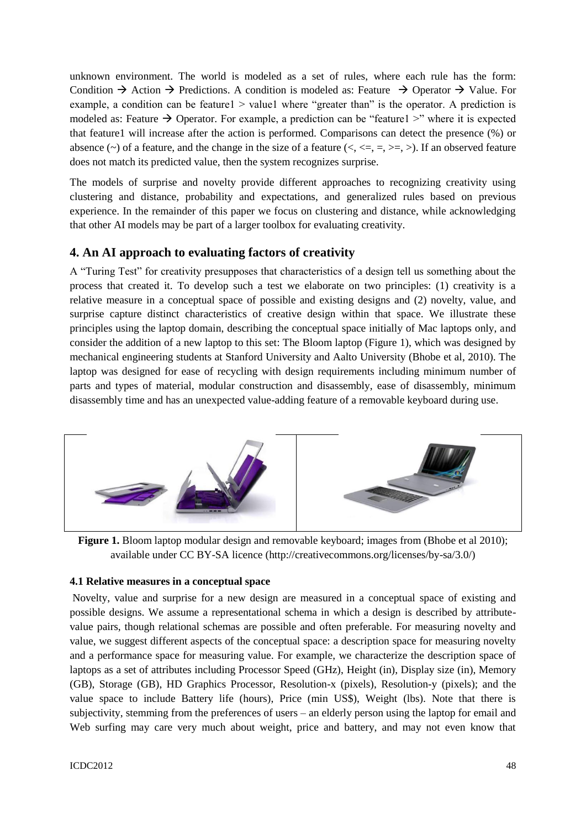unknown environment. The world is modeled as a set of rules, where each rule has the form: Condition  $\rightarrow$  Action  $\rightarrow$  Predictions. A condition is modeled as: Feature  $\rightarrow$  Operator  $\rightarrow$  Value. For example, a condition can be feature1  $>$  value1 where "greater than" is the operator. A prediction is modeled as: Feature  $\rightarrow$  Operator. For example, a prediction can be "feature1 >" where it is expected that feature1 will increase after the action is performed. Comparisons can detect the presence (%) or absence (~) of a feature, and the change in the size of a feature ( $\lt$ ,  $\lt$ =,  $=$ ,  $\gt$ =,  $\gt$ ). If an observed feature does not match its predicted value, then the system recognizes surprise.

The models of surprise and novelty provide different approaches to recognizing creativity using clustering and distance, probability and expectations, and generalized rules based on previous experience. In the remainder of this paper we focus on clustering and distance, while acknowledging that other AI models may be part of a larger toolbox for evaluating creativity.

### **4. An AI approach to evaluating factors of creativity**

A "Turing Test" for creativity presupposes that characteristics of a design tell us something about the process that created it. To develop such a test we elaborate on two principles: (1) creativity is a relative measure in a conceptual space of possible and existing designs and (2) novelty, value, and surprise capture distinct characteristics of creative design within that space. We illustrate these principles using the laptop domain, describing the conceptual space initially of Mac laptops only, and consider the addition of a new laptop to this set: The Bloom laptop (Figure 1), which was designed by mechanical engineering students at Stanford University and Aalto University (Bhobe et al, 2010). The laptop was designed for ease of recycling with design requirements including minimum number of parts and types of material, modular construction and disassembly, ease of disassembly, minimum disassembly time and has an unexpected value-adding feature of a removable keyboard during use.



**Figure 1.** Bloom laptop modular design and removable keyboard; images from (Bhobe et al 2010); available under CC BY-SA licence (http://creativecommons.org/licenses/by-sa/3.0/)

#### **4.1 Relative measures in a conceptual space**

Novelty, value and surprise for a new design are measured in a conceptual space of existing and possible designs. We assume a representational schema in which a design is described by attributevalue pairs, though relational schemas are possible and often preferable. For measuring novelty and value, we suggest different aspects of the conceptual space: a description space for measuring novelty and a performance space for measuring value. For example, we characterize the description space of laptops as a set of attributes including Processor Speed (GHz), Height (in), Display size (in), Memory (GB), Storage (GB), HD Graphics Processor, Resolution-x (pixels), Resolution-y (pixels); and the value space to include Battery life (hours), Price (min US\$), Weight (lbs). Note that there is subjectivity, stemming from the preferences of users – an elderly person using the laptop for email and Web surfing may care very much about weight, price and battery, and may not even know that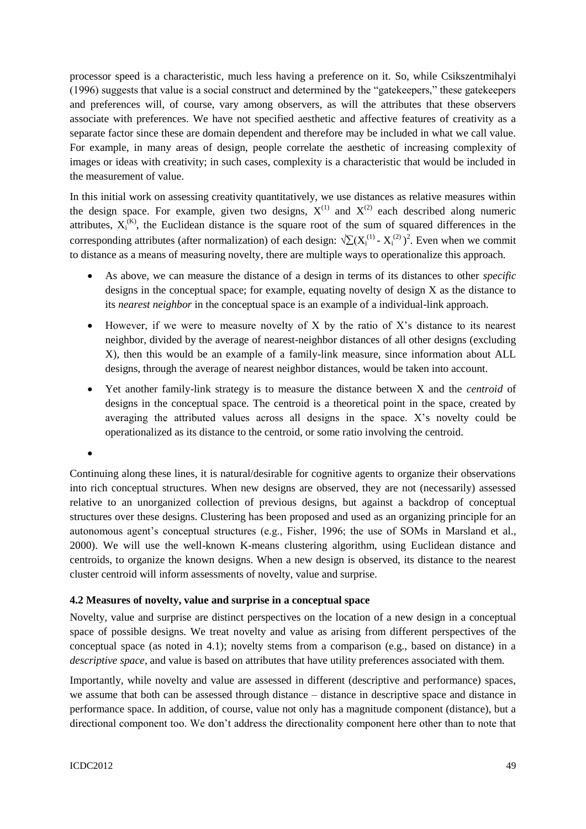processor speed is a characteristic, much less having a preference on it. So, while Csikszentmihalyi (1996) suggests that value is a social construct and determined by the "gatekeepers," these gatekeepers and preferences will, of course, vary among observers, as will the attributes that these observers associate with preferences. We have not specified aesthetic and affective features of creativity as a separate factor since these are domain dependent and therefore may be included in what we call value. For example, in many areas of design, people correlate the aesthetic of increasing complexity of images or ideas with creativity; in such cases, complexity is a characteristic that would be included in the measurement of value.

In this initial work on assessing creativity quantitatively, we use distances as relative measures within the design space. For example, given two designs,  $X^{(1)}$  and  $X^{(2)}$  each described along numeric attributes,  $X_i^{(K)}$ , the Euclidean distance is the square root of the sum of squared differences in the corresponding attributes (after normalization) of each design:  $\sqrt{\sum} (X_i^{(1)} - X_i^{(2)})^2$ . Even when we commit to distance as a means of measuring novelty, there are multiple ways to operationalize this approach.

- As above, we can measure the distance of a design in terms of its distances to other *specific* designs in the conceptual space; for example, equating novelty of design X as the distance to its *nearest neighbor* in the conceptual space is an example of a individual-link approach.
- $\bullet$  However, if we were to measure novelty of X by the ratio of X's distance to its nearest neighbor, divided by the average of nearest-neighbor distances of all other designs (excluding X), then this would be an example of a family-link measure, since information about ALL designs, through the average of nearest neighbor distances, would be taken into account.
- Yet another family-link strategy is to measure the distance between X and the *centroid* of designs in the conceptual space. The centroid is a theoretical point in the space, created by averaging the attributed values across all designs in the space. X's novelty could be operationalized as its distance to the centroid, or some ratio involving the centroid.

 $\bullet$ 

Continuing along these lines, it is natural/desirable for cognitive agents to organize their observations into rich conceptual structures. When new designs are observed, they are not (necessarily) assessed relative to an unorganized collection of previous designs, but against a backdrop of conceptual structures over these designs. Clustering has been proposed and used as an organizing principle for an autonomous agent's conceptual structures (e.g., Fisher, 1996; the use of SOMs in Marsland et al., 2000). We will use the well-known K-means clustering algorithm, using Euclidean distance and centroids, to organize the known designs. When a new design is observed, its distance to the nearest cluster centroid will inform assessments of novelty, value and surprise.

#### **4.2 Measures of novelty, value and surprise in a conceptual space**

Novelty, value and surprise are distinct perspectives on the location of a new design in a conceptual space of possible designs. We treat novelty and value as arising from different perspectives of the conceptual space (as noted in 4.1); novelty stems from a comparison (e.g., based on distance) in a *descriptive space*, and value is based on attributes that have utility preferences associated with them.

Importantly, while novelty and value are assessed in different (descriptive and performance) spaces, we assume that both can be assessed through distance – distance in descriptive space and distance in performance space. In addition, of course, value not only has a magnitude component (distance), but a directional component too. We don't address the directionality component here other than to note that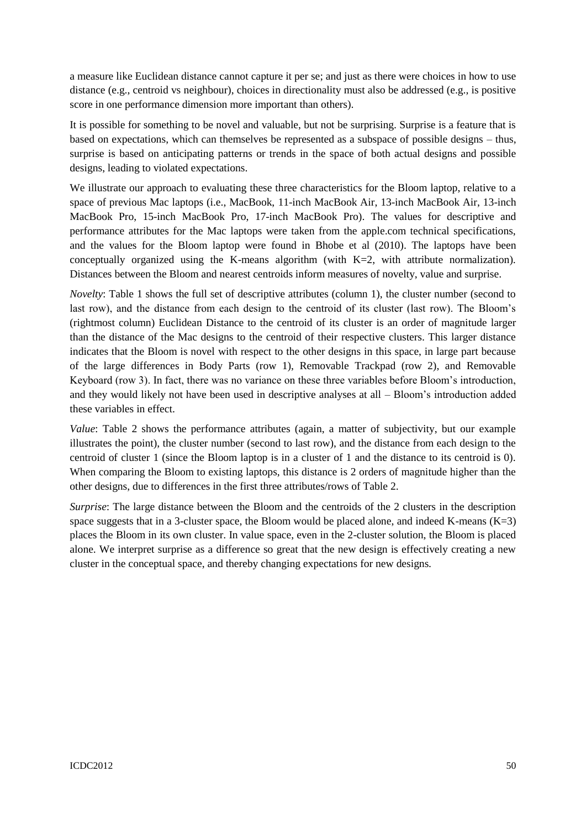a measure like Euclidean distance cannot capture it per se; and just as there were choices in how to use distance (e.g., centroid vs neighbour), choices in directionality must also be addressed (e.g., is positive score in one performance dimension more important than others).

It is possible for something to be novel and valuable, but not be surprising. Surprise is a feature that is based on expectations, which can themselves be represented as a subspace of possible designs – thus, surprise is based on anticipating patterns or trends in the space of both actual designs and possible designs, leading to violated expectations.

We illustrate our approach to evaluating these three characteristics for the Bloom laptop, relative to a space of previous Mac laptops (i.e., MacBook, 11-inch MacBook Air, 13-inch MacBook Air, 13-inch MacBook Pro, 15-inch MacBook Pro, 17-inch MacBook Pro). The values for descriptive and performance attributes for the Mac laptops were taken from the apple.com technical specifications, and the values for the Bloom laptop were found in Bhobe et al (2010). The laptops have been conceptually organized using the K-means algorithm (with  $K=2$ , with attribute normalization). Distances between the Bloom and nearest centroids inform measures of novelty, value and surprise.

*Novelty*: Table 1 shows the full set of descriptive attributes (column 1), the cluster number (second to last row), and the distance from each design to the centroid of its cluster (last row). The Bloom's (rightmost column) Euclidean Distance to the centroid of its cluster is an order of magnitude larger than the distance of the Mac designs to the centroid of their respective clusters. This larger distance indicates that the Bloom is novel with respect to the other designs in this space, in large part because of the large differences in Body Parts (row 1), Removable Trackpad (row 2), and Removable Keyboard (row 3). In fact, there was no variance on these three variables before Bloom's introduction, and they would likely not have been used in descriptive analyses at all – Bloom's introduction added these variables in effect.

*Value*: Table 2 shows the performance attributes (again, a matter of subjectivity, but our example illustrates the point), the cluster number (second to last row), and the distance from each design to the centroid of cluster 1 (since the Bloom laptop is in a cluster of 1 and the distance to its centroid is 0). When comparing the Bloom to existing laptops, this distance is 2 orders of magnitude higher than the other designs, due to differences in the first three attributes/rows of Table 2.

*Surprise*: The large distance between the Bloom and the centroids of the 2 clusters in the description space suggests that in a 3-cluster space, the Bloom would be placed alone, and indeed K-means  $(K=3)$ places the Bloom in its own cluster. In value space, even in the 2-cluster solution, the Bloom is placed alone. We interpret surprise as a difference so great that the new design is effectively creating a new cluster in the conceptual space, and thereby changing expectations for new designs.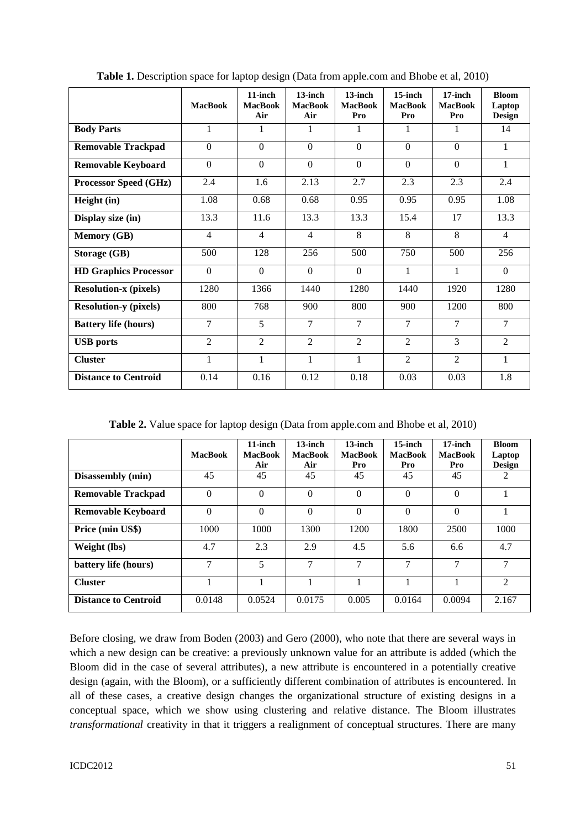|                              | <b>MacBook</b> | $11$ -inch<br><b>MacBook</b><br>Air | $13$ -inch<br><b>MacBook</b><br>Air | $13$ -inch<br><b>MacBook</b><br>Pro | $15$ -inch<br><b>MacBook</b><br>Pro | $17$ -inch<br><b>MacBook</b><br>Pro | <b>Bloom</b><br>Laptop<br><b>Design</b> |
|------------------------------|----------------|-------------------------------------|-------------------------------------|-------------------------------------|-------------------------------------|-------------------------------------|-----------------------------------------|
| <b>Body Parts</b>            | $\mathbf{1}$   | 1                                   | 1                                   | 1                                   | 1                                   | 1                                   | 14                                      |
| <b>Removable Trackpad</b>    | $\Omega$       | $\Omega$                            | $\Omega$                            | $\Omega$                            | $\Omega$                            | $\Omega$                            | $\mathbf{1}$                            |
| <b>Removable Keyboard</b>    | $\Omega$       | $\theta$                            | $\theta$                            | $\Omega$                            | $\Omega$                            | $\theta$                            | $\mathbf{1}$                            |
| Processor Speed (GHz)        | 2.4            | 1.6                                 | 2.13                                | 2.7                                 | 2.3                                 | 2.3                                 | 2.4                                     |
| Height (in)                  | 1.08           | 0.68                                | 0.68                                | 0.95                                | 0.95                                | 0.95                                | 1.08                                    |
| Display size (in)            | 13.3           | 11.6                                | 13.3                                | 13.3                                | 15.4                                | 17                                  | 13.3                                    |
| <b>Memory (GB)</b>           | $\overline{4}$ | $\overline{4}$                      | $\overline{4}$                      | 8                                   | 8                                   | 8                                   | $\overline{4}$                          |
| <b>Storage (GB)</b>          | 500            | 128                                 | 256                                 | 500                                 | 750                                 | 500                                 | 256                                     |
| <b>HD Graphics Processor</b> | $\Omega$       | $\overline{0}$                      | $\theta$                            | $\Omega$                            | 1                                   | $\mathbf{1}$                        | $\Omega$                                |
| <b>Resolution-x (pixels)</b> | 1280           | 1366                                | 1440                                | 1280                                | 1440                                | 1920                                | 1280                                    |
| <b>Resolution-y (pixels)</b> | 800            | 768                                 | 900                                 | 800                                 | 900                                 | 1200                                | 800                                     |
| <b>Battery life (hours)</b>  | 7              | 5                                   | 7                                   | $\tau$                              | $\overline{7}$                      | $\tau$                              | $\tau$                                  |
| <b>USB</b> ports             | $\overline{2}$ | $\overline{2}$                      | $\overline{2}$                      | $\overline{2}$                      | $\overline{2}$                      | 3                                   | $\mathfrak{D}$                          |
| <b>Cluster</b>               | 1              | 1                                   | 1                                   | 1                                   | $\overline{2}$                      | $\overline{2}$                      | $\mathbf{1}$                            |
| <b>Distance to Centroid</b>  | 0.14           | 0.16                                | 0.12                                | 0.18                                | 0.03                                | 0.03                                | 1.8                                     |

Table 1. Description space for laptop design (Data from apple.com and Bhobe et al, 2010)

**Table 2.** Value space for laptop design (Data from apple.com and Bhobe et al, 2010)

|                             | <b>MacBook</b> | $11$ -inch<br><b>MacBook</b><br>Air | $13$ -inch<br><b>MacBook</b><br>Air | $13$ -inch<br><b>MacBook</b><br>Pro | $15$ -inch<br><b>MacBook</b><br>Pro | 17-inch<br><b>MacBook</b><br>Pro | <b>Bloom</b><br>Laptop<br><b>Design</b> |
|-----------------------------|----------------|-------------------------------------|-------------------------------------|-------------------------------------|-------------------------------------|----------------------------------|-----------------------------------------|
| Disassembly (min)           | 45             | 45                                  | 45                                  | 45                                  | 45                                  | 45                               |                                         |
| <b>Removable Trackpad</b>   | $\Omega$       | $\Omega$                            | $\Omega$                            | $\Omega$                            | $\Omega$                            | $\Omega$                         |                                         |
| <b>Removable Keyboard</b>   | $\Omega$       | $\Omega$                            | $\Omega$                            | $\Omega$                            | $\theta$                            | $\theta$                         |                                         |
| Price (min US\$)            | 1000           | 1000                                | 1300                                | 1200                                | 1800                                | 2500                             | 1000                                    |
| Weight (lbs)                | 4.7            | 2.3                                 | 2.9                                 | 4.5                                 | 5.6                                 | 6.6                              | 4.7                                     |
| battery life (hours)        | 7              | 5                                   | $\overline{7}$                      | 7                                   | 7                                   | 7                                | 7                                       |
| <b>Cluster</b>              |                |                                     |                                     |                                     |                                     |                                  | $\mathfrak{D}$                          |
| <b>Distance to Centroid</b> | 0.0148         | 0.0524                              | 0.0175                              | 0.005                               | 0.0164                              | 0.0094                           | 2.167                                   |

Before closing, we draw from Boden (2003) and Gero (2000), who note that there are several ways in which a new design can be creative: a previously unknown value for an attribute is added (which the Bloom did in the case of several attributes), a new attribute is encountered in a potentially creative design (again, with the Bloom), or a sufficiently different combination of attributes is encountered. In all of these cases, a creative design changes the organizational structure of existing designs in a conceptual space, which we show using clustering and relative distance. The Bloom illustrates *transformational* creativity in that it triggers a realignment of conceptual structures. There are many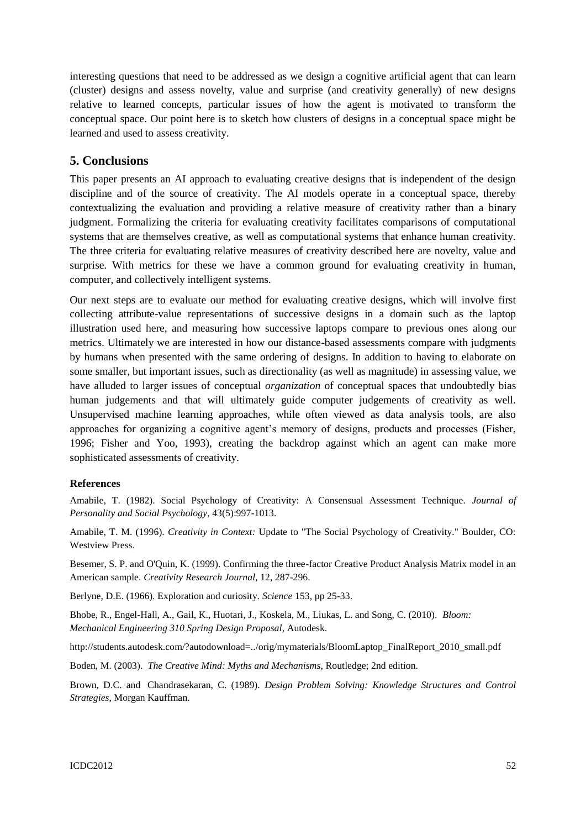interesting questions that need to be addressed as we design a cognitive artificial agent that can learn (cluster) designs and assess novelty, value and surprise (and creativity generally) of new designs relative to learned concepts, particular issues of how the agent is motivated to transform the conceptual space. Our point here is to sketch how clusters of designs in a conceptual space might be learned and used to assess creativity.

### **5. Conclusions**

This paper presents an AI approach to evaluating creative designs that is independent of the design discipline and of the source of creativity. The AI models operate in a conceptual space, thereby contextualizing the evaluation and providing a relative measure of creativity rather than a binary judgment. Formalizing the criteria for evaluating creativity facilitates comparisons of computational systems that are themselves creative, as well as computational systems that enhance human creativity. The three criteria for evaluating relative measures of creativity described here are novelty, value and surprise. With metrics for these we have a common ground for evaluating creativity in human, computer, and collectively intelligent systems.

Our next steps are to evaluate our method for evaluating creative designs, which will involve first collecting attribute-value representations of successive designs in a domain such as the laptop illustration used here, and measuring how successive laptops compare to previous ones along our metrics. Ultimately we are interested in how our distance-based assessments compare with judgments by humans when presented with the same ordering of designs. In addition to having to elaborate on some smaller, but important issues, such as directionality (as well as magnitude) in assessing value, we have alluded to larger issues of conceptual *organization* of conceptual spaces that undoubtedly bias human judgements and that will ultimately guide computer judgements of creativity as well. Unsupervised machine learning approaches, while often viewed as data analysis tools, are also approaches for organizing a cognitive agent's memory of designs, products and processes (Fisher, 1996; Fisher and Yoo, 1993), creating the backdrop against which an agent can make more sophisticated assessments of creativity.

#### **References**

Amabile, T. (1982). Social Psychology of Creativity: A Consensual Assessment Technique. *Journal of Personality and Social Psychology*, 43(5):997-1013.

Amabile, T. M. (1996). *Creativity in Context:* Update to "The Social Psychology of Creativity." Boulder, CO: Westview Press.

Besemer, S. P. and O'Quin, K. (1999). Confirming the three-factor Creative Product Analysis Matrix model in an American sample. *Creativity Research Journal*, 12, 287-296.

Berlyne, D.E. (1966). Exploration and curiosity. *Science* 153, pp 25-33.

Bhobe, R., Engel-Hall, A., Gail, K., Huotari, J., Koskela, M., Liukas, L. and Song, C. (2010). *Bloom: Mechanical Engineering 310 Spring Design Proposal*, Autodesk.

http://students.autodesk.com/?autodownload=../orig/mymaterials/BloomLaptop\_FinalReport\_2010\_small.pdf

Boden, M. (2003). *The Creative Mind: Myths and Mechanisms*, Routledge; 2nd edition.

Brown, D.C. and Chandrasekaran, C. (1989). *Design Problem Solving: Knowledge Structures and Control Strategies*, Morgan Kauffman.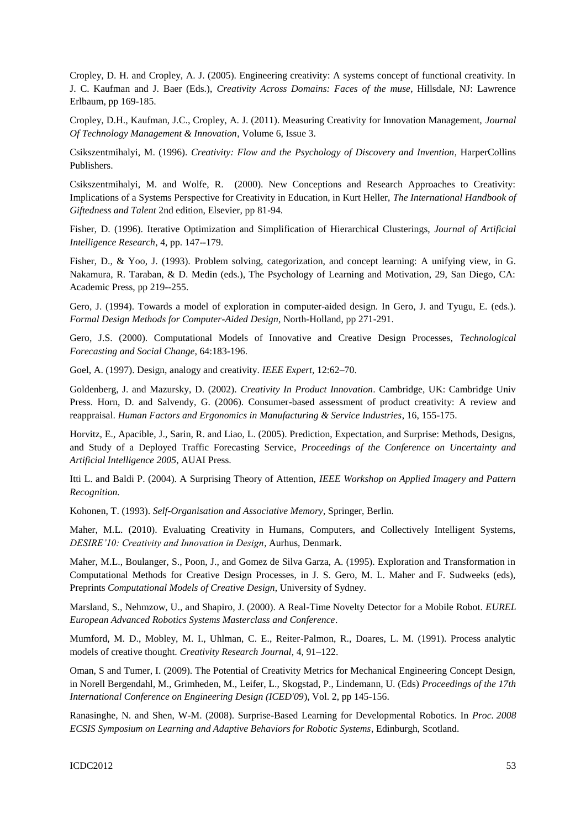Cropley, D. H. and Cropley, A. J. (2005). Engineering creativity: A systems concept of functional creativity. In J. C. Kaufman and J. Baer (Eds.), *Creativity Across Domains: Faces of the muse*, Hillsdale, NJ: Lawrence Erlbaum, pp 169-185.

Cropley, D.H., Kaufman, J.C., Cropley, A. J. (2011). Measuring Creativity for Innovation Management, *Journal Of Technology Management & Innovation*, Volume 6, Issue 3.

Csikszentmihalyi, M. (1996). *Creativity: Flow and the Psychology of Discovery and Invention*, HarperCollins Publishers.

Csikszentmihalyi, M. and Wolfe, R. (2000). New Conceptions and Research Approaches to Creativity: Implications of a Systems Perspective for Creativity in Education, in Kurt Heller, *The International Handbook of Giftedness and Talent* 2nd edition, Elsevier, pp 81-94.

Fisher, D. (1996). Iterative Optimization and Simplification of Hierarchical Clusterings, *Journal of Artificial Intelligence Research*, 4, pp. 147--179.

Fisher, D., & Yoo, J. (1993). Problem solving, categorization, and concept learning: A unifying view, in G. Nakamura, R. Taraban, & D. Medin (eds.), The Psychology of Learning and Motivation, 29, San Diego, CA: Academic Press, pp 219--255.

Gero, J. (1994). Towards a model of exploration in computer-aided design. In Gero, J. and Tyugu, E. (eds.). *Formal Design Methods for Computer-Aided Design*, North-Holland, pp 271-291.

Gero, J.S. (2000). Computational Models of Innovative and Creative Design Processes, *Technological Forecasting and Social Change*, 64:183-196.

Goel, A. (1997). Design, analogy and creativity. *IEEE Expert*, 12:62–70.

Goldenberg, J. and Mazursky, D. (2002). *Creativity In Product Innovation*. Cambridge, UK: Cambridge Univ Press. Horn, D. and Salvendy, G. (2006). Consumer-based assessment of product creativity: A review and reappraisal. *Human Factors and Ergonomics in Manufacturing & Service Industries*, 16, 155-175.

Horvitz, E., Apacible, J., Sarin, R. and Liao, L. (2005). Prediction, Expectation, and Surprise: Methods, Designs, and Study of a Deployed Traffic Forecasting Service, *Proceedings of the Conference on Uncertainty and Artificial Intelligence 2005*, AUAI Press.

Itti L. and Baldi P. (2004). A Surprising Theory of Attention, *IEEE Workshop on Applied Imagery and Pattern Recognition.*

Kohonen, T. (1993). *Self-Organisation and Associative Memory*, Springer, Berlin.

Maher, M.L. (2010). Evaluating Creativity in Humans, Computers, and Collectively Intelligent Systems, *DESIRE"10: Creativity and Innovation in Design*, Aurhus, Denmark.

Maher, M.L., Boulanger, S., Poon, J., and Gomez de Silva Garza, A. (1995). Exploration and Transformation in Computational Methods for Creative Design Processes, in J. S. Gero, M. L. Maher and F. Sudweeks (eds), Preprints *Computational Models of Creative Design*, University of Sydney.

Marsland, S., Nehmzow, U., and Shapiro, J. (2000). A Real-Time Novelty Detector for a Mobile Robot. *EUREL European Advanced Robotics Systems Masterclass and Conference*.

Mumford, M. D., Mobley, M. I., Uhlman, C. E., Reiter-Palmon, R., Doares, L. M. (1991). Process analytic models of creative thought. *Creativity Research Journal*, 4, 91–122.

Oman, S and Tumer, I. (2009). The Potential of Creativity Metrics for Mechanical Engineering Concept Design, in Norell Bergendahl, M., Grimheden, M., Leifer, L., Skogstad, P., Lindemann, U. (Eds) *Proceedings of the 17th International Conference on Engineering Design (ICED'09*), Vol. 2, pp 145-156.

Ranasinghe, N. and Shen, W-M. (2008). Surprise-Based Learning for Developmental Robotics. In *Proc. 2008 ECSIS Symposium on Learning and Adaptive Behaviors for Robotic Systems*, Edinburgh, Scotland.